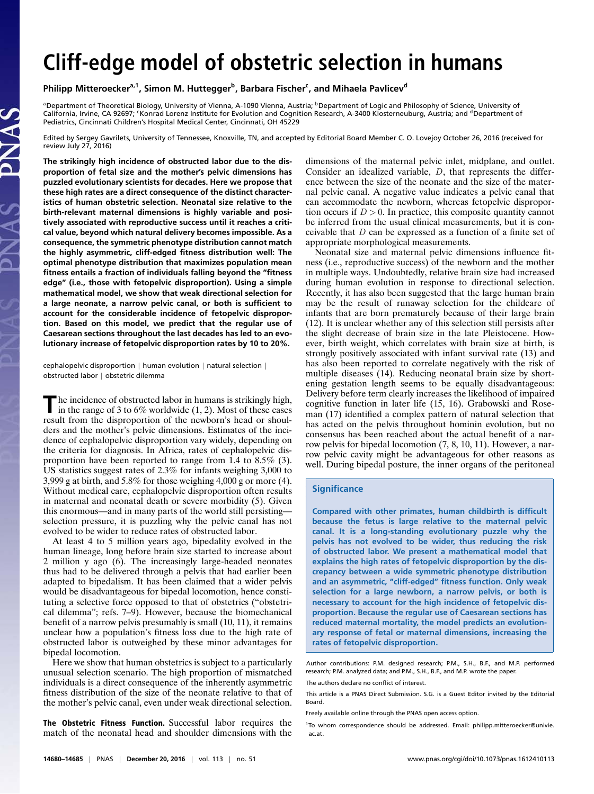# **Cliff-edge model of obstetric selection in humans**

**Philipp Mitteroeckera,1, Simon M. Huttegger<sup>b</sup> , Barbara Fischer<sup>c</sup> , and Mihaela Pavlicev<sup>d</sup>**

aDepartment of Theoretical Biology, University of Vienna, A-1090 Vienna, Austria; <sup>b</sup>Department of Logic and Philosophy of Science, University of California, Irvine, CA 92697; 'Konrad Lorenz Institute for Evolution and Cognition Research, A-3400 Klosterneuburg, Austria; and <sup>d</sup>Department of Pediatrics, Cincinnati Children's Hospital Medical Center, Cincinnati, OH 45229

Edited by Sergey Gavrilets, University of Tennessee, Knoxville, TN, and accepted by Editorial Board Member C. O. Lovejoy October 26, 2016 (received for review July 27, 2016)

**The strikingly high incidence of obstructed labor due to the disproportion of fetal size and the mother's pelvic dimensions has puzzled evolutionary scientists for decades. Here we propose that these high rates are a direct consequence of the distinct characteristics of human obstetric selection. Neonatal size relative to the birth-relevant maternal dimensions is highly variable and positively associated with reproductive success until it reaches a critical value, beyond which natural delivery becomes impossible. As a consequence, the symmetric phenotype distribution cannot match the highly asymmetric, cliff-edged fitness distribution well: The optimal phenotype distribution that maximizes population mean fitness entails a fraction of individuals falling beyond the "fitness edge" (i.e., those with fetopelvic disproportion). Using a simple mathematical model, we show that weak directional selection for a large neonate, a narrow pelvic canal, or both is sufficient to account for the considerable incidence of fetopelvic disproportion. Based on this model, we predict that the regular use of Caesarean sections throughout the last decades has led to an evolutionary increase of fetopelvic disproportion rates by 10 to 20%.**

cephalopelvic disproportion | human evolution | natural selection | obstructed labor | obstetric dilemma

The incidence of obstructed labor in humans is strikingly high, in the range of 3 to 6% worldwide (1, 2). Most of these cases result from the disproportion of the newborn's head or shoulhe incidence of obstructed labor in humans is strikingly high, in the range of 3 to  $6\%$  worldwide  $(1, 2)$ . Most of these cases ders and the mother's pelvic dimensions. Estimates of the incidence of cephalopelvic disproportion vary widely, depending on the criteria for diagnosis. In Africa, rates of cephalopelvic disproportion have been reported to range from  $1.4$  to  $8.5\%$  (3). US statistics suggest rates of 2.3% for infants weighing 3,000 to 3,999 g at birth, and 5.8% for those weighing 4,000 g or more (4). Without medical care, cephalopelvic disproportion often results in maternal and neonatal death or severe morbidity (5). Given this enormous—and in many parts of the world still persisting selection pressure, it is puzzling why the pelvic canal has not evolved to be wider to reduce rates of obstructed labor.

At least 4 to 5 million years ago, bipedality evolved in the human lineage, long before brain size started to increase about 2 million y ago (6). The increasingly large-headed neonates thus had to be delivered through a pelvis that had earlier been adapted to bipedalism. It has been claimed that a wider pelvis would be disadvantageous for bipedal locomotion, hence constituting a selective force opposed to that of obstetrics ("obstetrical dilemma"; refs. 7–9). However, because the biomechanical benefit of a narrow pelvis presumably is small (10, 11), it remains unclear how a population's fitness loss due to the high rate of obstructed labor is outweighed by these minor advantages for bipedal locomotion.

Here we show that human obstetrics is subject to a particularly unusual selection scenario. The high proportion of mismatched individuals is a direct consequence of the inherently asymmetric fitness distribution of the size of the neonate relative to that of the mother's pelvic canal, even under weak directional selection.

The Obstetric Fitness Function. Successful labor requires the match of the neonatal head and shoulder dimensions with the dimensions of the maternal pelvic inlet, midplane, and outlet. Consider an idealized variable, D, that represents the difference between the size of the neonate and the size of the maternal pelvic canal. A negative value indicates a pelvic canal that can accommodate the newborn, whereas fetopelvic disproportion occurs if  $D > 0$ . In practice, this composite quantity cannot be inferred from the usual clinical measurements, but it is conceivable that D can be expressed as a function of a finite set of appropriate morphological measurements.

Neonatal size and maternal pelvic dimensions influence fitness (i.e., reproductive success) of the newborn and the mother in multiple ways. Undoubtedly, relative brain size had increased during human evolution in response to directional selection. Recently, it has also been suggested that the large human brain may be the result of runaway selection for the childcare of infants that are born prematurely because of their large brain (12). It is unclear whether any of this selection still persists after the slight decrease of brain size in the late Pleistocene. However, birth weight, which correlates with brain size at birth, is strongly positively associated with infant survival rate (13) and has also been reported to correlate negatively with the risk of multiple diseases (14). Reducing neonatal brain size by shortening gestation length seems to be equally disadvantageous: Delivery before term clearly increases the likelihood of impaired cognitive function in later life (15, 16). Grabowski and Roseman (17) identified a complex pattern of natural selection that has acted on the pelvis throughout hominin evolution, but no consensus has been reached about the actual benefit of a narrow pelvis for bipedal locomotion (7, 8, 10, 11). However, a narrow pelvic cavity might be advantageous for other reasons as well. During bipedal posture, the inner organs of the peritoneal

#### **Significance**

**Compared with other primates, human childbirth is difficult because the fetus is large relative to the maternal pelvic canal. It is a long-standing evolutionary puzzle why the pelvis has not evolved to be wider, thus reducing the risk of obstructed labor. We present a mathematical model that explains the high rates of fetopelvic disproportion by the discrepancy between a wide symmetric phenotype distribution and an asymmetric, "cliff-edged" fitness function. Only weak selection for a large newborn, a narrow pelvis, or both is necessary to account for the high incidence of fetopelvic disproportion. Because the regular use of Caesarean sections has reduced maternal mortality, the model predicts an evolutionary response of fetal or maternal dimensions, increasing the rates of fetopelvic disproportion.**

Author contributions: P.M. designed research; P.M., S.H., B.F., and M.P. performed research; P.M. analyzed data; and P.M., S.H., B.F., and M.P. wrote the paper.

The authors declare no conflict of interest.

This article is a PNAS Direct Submission. S.G. is a Guest Editor invited by the Editorial Board.

Freely available online through the PNAS open access option.

<sup>1</sup> To whom correspondence should be addressed. Email: [philipp.mitteroecker@univie.](mailto:philipp.mitteroecker@univie.ac.at) [ac.at.](mailto:philipp.mitteroecker@univie.ac.at)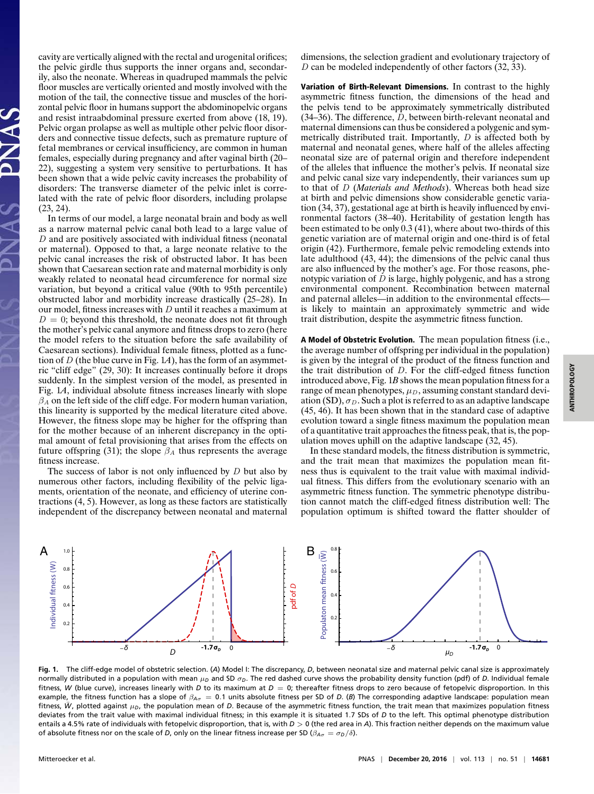cavity are vertically aligned with the rectal and urogenital orifices; the pelvic girdle thus supports the inner organs and, secondarily, also the neonate. Whereas in quadruped mammals the pelvic floor muscles are vertically oriented and mostly involved with the motion of the tail, the connective tissue and muscles of the horizontal pelvic floor in humans support the abdominopelvic organs and resist intraabdominal pressure exerted from above (18, 19). Pelvic organ prolapse as well as multiple other pelvic floor disorders and connective tissue defects, such as premature rupture of fetal membranes or cervical insufficiency, are common in human females, especially during pregnancy and after vaginal birth (20– 22), suggesting a system very sensitive to perturbations. It has been shown that a wide pelvic cavity increases the probability of disorders: The transverse diameter of the pelvic inlet is correlated with the rate of pelvic floor disorders, including prolapse (23, 24).

In terms of our model, a large neonatal brain and body as well as a narrow maternal pelvic canal both lead to a large value of D and are positively associated with individual fitness (neonatal or maternal). Opposed to that, a large neonate relative to the pelvic canal increases the risk of obstructed labor. It has been shown that Caesarean section rate and maternal morbidity is only weakly related to neonatal head circumference for normal size variation, but beyond a critical value (90th to 95th percentile) obstructed labor and morbidity increase drastically (25–28). In our model, fitness increases with D until it reaches a maximum at  $D = 0$ ; beyond this threshold, the neonate does not fit through the mother's pelvic canal anymore and fitness drops to zero (here the model refers to the situation before the safe availability of Caesarean sections). Individual female fitness, plotted as a function of D (the blue curve in Fig. 1*A*), has the form of an asymmetric "cliff edge" (29, 30): It increases continually before it drops suddenly. In the simplest version of the model, as presented in Fig. 1*A*, individual absolute fitness increases linearly with slope  $\beta_A$  on the left side of the cliff edge. For modern human variation, this linearity is supported by the medical literature cited above. However, the fitness slope may be higher for the offspring than for the mother because of an inherent discrepancy in the optimal amount of fetal provisioning that arises from the effects on future offspring (31); the slope  $\beta_A$  thus represents the average fitness increase.

The success of labor is not only influenced by  $D$  but also by numerous other factors, including flexibility of the pelvic ligaments, orientation of the neonate, and efficiency of uterine contractions (4, 5). However, as long as these factors are statistically independent of the discrepancy between neonatal and maternal dimensions, the selection gradient and evolutionary trajectory of D can be modeled independently of other factors (32, 33).

Variation of Birth-Relevant Dimensions. In contrast to the highly asymmetric fitness function, the dimensions of the head and the pelvis tend to be approximately symmetrically distributed (34–36). The difference, D, between birth-relevant neonatal and maternal dimensions can thus be considered a polygenic and symmetrically distributed trait. Importantly,  $D$  is affected both by maternal and neonatal genes, where half of the alleles affecting neonatal size are of paternal origin and therefore independent of the alleles that influence the mother's pelvis. If neonatal size and pelvic canal size vary independently, their variances sum up to that of D (*Materials and Methods*). Whereas both head size at birth and pelvic dimensions show considerable genetic variation (34, 37), gestational age at birth is heavily influenced by environmental factors (38–40). Heritability of gestation length has been estimated to be only 0.3 (41), where about two-thirds of this genetic variation are of maternal origin and one-third is of fetal origin (42). Furthermore, female pelvic remodeling extends into late adulthood (43, 44); the dimensions of the pelvic canal thus are also influenced by the mother's age. For those reasons, phenotypic variation of  $D$  is large, highly polygenic, and has a strong environmental component. Recombination between maternal and paternal alleles—in addition to the environmental effects is likely to maintain an approximately symmetric and wide trait distribution, despite the asymmetric fitness function.

A Model of Obstetric Evolution. The mean population fitness (i.e., the average number of offspring per individual in the population) is given by the integral of the product of the fitness function and the trait distribution of  $D$ . For the cliff-edged fitness function introduced above, Fig. 1*B* shows the mean population fitness for a range of mean phenotypes,  $\mu_D$ , assuming constant standard deviation (SD),  $\sigma_D$ . Such a plot is referred to as an adaptive landscape (45, 46). It has been shown that in the standard case of adaptive evolution toward a single fitness maximum the population mean of a quantitative trait approaches the fitness peak, that is, the population moves uphill on the adaptive landscape (32, 45).

In these standard models, the fitness distribution is symmetric, and the trait mean that maximizes the population mean fitness thus is equivalent to the trait value with maximal individual fitness. This differs from the evolutionary scenario with an asymmetric fitness function. The symmetric phenotype distribution cannot match the cliff-edged fitness distribution well: The population optimum is shifted toward the flatter shoulder of



**Fig. 1.** The cliff-edge model of obstetric selection. (*A*) Model I: The discrepancy, *D*, between neonatal size and maternal pelvic canal size is approximately normally distributed in a population with mean μ<sub>D</sub> and SD  $\sigma$ <sub>D</sub>. The red dashed curve shows the probability density function (pdf) of *D*. Individual female fitness, W (blue curve), increases linearly with *D* to its maximum at  $D = 0$ ; thereafter fitness drops to zero because of fetopelvic disproportion. In this example, the fitness function has a slope of β*A*<sup>σ</sup> = 0.1 units absolute fitness per SD of *D*. (*B*) The corresponding adaptive landscape: population mean fitness,  $\bar{W}$ , plotted against  $\mu_D$ , the population mean of *D*. Because of the asymmetric fitness function, the trait mean that maximizes population fitness deviates from the trait value with maximal individual fitness; in this example it is situated 1.7 SDs of *D* to the left. This optimal phenotype distribution entails a 4.5% rate of individuals with fetopelvic disproportion, that is, with *D* > 0 (the red area in *A*). This fraction neither depends on the maximum value of absolute fitness nor on the scale of *D*, only on the linear fitness increase per SD ( $\beta_{A\sigma} = \sigma_p/\delta$ ).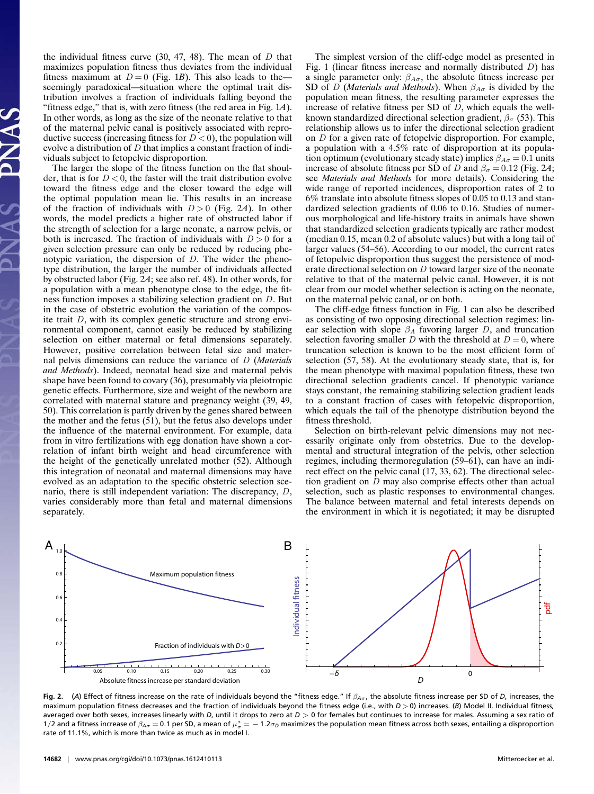the individual fitness curve  $(30, 47, 48)$ . The mean of D that maximizes population fitness thus deviates from the individual fitness maximum at  $D = 0$  (Fig. 1*B*). This also leads to the seemingly paradoxical—situation where the optimal trait distribution involves a fraction of individuals falling beyond the "fitness edge," that is, with zero fitness (the red area in Fig. 1*A*). In other words, as long as the size of the neonate relative to that of the maternal pelvic canal is positively associated with reproductive success (increasing fitness for  $D < 0$ ), the population will evolve a distribution of  $D$  that implies a constant fraction of individuals subject to fetopelvic disproportion.

The larger the slope of the fitness function on the flat shoulder, that is for  $D < 0$ , the faster will the trait distribution evolve toward the fitness edge and the closer toward the edge will the optimal population mean lie. This results in an increase of the fraction of individuals with  $D > 0$  (Fig. 24). In other words, the model predicts a higher rate of obstructed labor if the strength of selection for a large neonate, a narrow pelvis, or both is increased. The fraction of individuals with  $D > 0$  for a given selection pressure can only be reduced by reducing phenotypic variation, the dispersion of  $D$ . The wider the phenotype distribution, the larger the number of individuals affected by obstructed labor (Fig. 2*A*; see also ref. 48). In other words, for a population with a mean phenotype close to the edge, the fitness function imposes a stabilizing selection gradient on D. But in the case of obstetric evolution the variation of the composite trait D, with its complex genetic structure and strong environmental component, cannot easily be reduced by stabilizing selection on either maternal or fetal dimensions separately. However, positive correlation between fetal size and maternal pelvis dimensions can reduce the variance of D (*Materials and Methods*). Indeed, neonatal head size and maternal pelvis shape have been found to covary (36), presumably via pleiotropic genetic effects. Furthermore, size and weight of the newborn are correlated with maternal stature and pregnancy weight (39, 49, 50). This correlation is partly driven by the genes shared between the mother and the fetus (51), but the fetus also develops under the influence of the maternal environment. For example, data from in vitro fertilizations with egg donation have shown a correlation of infant birth weight and head circumference with the height of the genetically unrelated mother (52). Although this integration of neonatal and maternal dimensions may have evolved as an adaptation to the specific obstetric selection scenario, there is still independent variation: The discrepancy, D, varies considerably more than fetal and maternal dimensions separately.

The simplest version of the cliff-edge model as presented in Fig. 1 (linear fitness increase and normally distributed  $D$ ) has a single parameter only:  $\beta_{A\sigma}$ , the absolute fitness increase per SD of D (*Materials and Methods*). When  $\beta_{A\sigma}$  is divided by the population mean fitness, the resulting parameter expresses the increase of relative fitness per SD of D, which equals the wellknown standardized directional selection gradient,  $\beta_{\sigma}$  (53). This relationship allows us to infer the directional selection gradient on D for a given rate of fetopelvic disproportion. For example, a population with a 4.5% rate of disproportion at its population optimum (evolutionary steady state) implies  $\beta_{A\sigma} = 0.1$  units increase of absolute fitness per SD of D and  $\beta_{\sigma} = 0.12$  (Fig. 2*A*; see *Materials and Methods* for more details). Considering the wide range of reported incidences, disproportion rates of 2 to 6% translate into absolute fitness slopes of 0.05 to 0.13 and standardized selection gradients of 0.06 to 0.16. Studies of numerous morphological and life-history traits in animals have shown that standardized selection gradients typically are rather modest (median 0.15, mean 0.2 of absolute values) but with a long tail of larger values (54–56). According to our model, the current rates of fetopelvic disproportion thus suggest the persistence of moderate directional selection on D toward larger size of the neonate relative to that of the maternal pelvic canal. However, it is not clear from our model whether selection is acting on the neonate, on the maternal pelvic canal, or on both.

The cliff-edge fitness function in Fig. 1 can also be described as consisting of two opposing directional selection regimes: linear selection with slope  $\beta_A$  favoring larger D, and truncation selection favoring smaller D with the threshold at  $D = 0$ , where truncation selection is known to be the most efficient form of selection (57, 58). At the evolutionary steady state, that is, for the mean phenotype with maximal population fitness, these two directional selection gradients cancel. If phenotypic variance stays constant, the remaining stabilizing selection gradient leads to a constant fraction of cases with fetopelvic disproportion, which equals the tail of the phenotype distribution beyond the fitness threshold.

Selection on birth-relevant pelvic dimensions may not necessarily originate only from obstetrics. Due to the developmental and structural integration of the pelvis, other selection regimes, including thermoregulation (59–61), can have an indirect effect on the pelvic canal (17, 33, 62). The directional selection gradient on D may also comprise effects other than actual selection, such as plastic responses to environmental changes. The balance between maternal and fetal interests depends on the environment in which it is negotiated; it may be disrupted



**Fig. 2.** (A) Effect of fitness increase on the rate of individuals beyond the "fitness edge." If  $β_{Aσ}$ , the absolute fitness increase per SD of *D*, increases, the maximum population fitness decreases and the fraction of individuals beyond the fitness edge (i.e., with *D* > 0) increases. (*B*) Model II. Individual fitness, averaged over both sexes, increases linearly with *D*, until it drops to zero at  $D > 0$  for females but continues to increase for males. Assuming a sex ratio of 1/2 and a fitness increase of  $\beta_{A\sigma} =$  0.1 per SD, a mean of  $\mu^{\ast}_{\sigma} = -$  1.2 $\sigma_{D}$  maximizes the population mean fitness across both sexes, entailing a disproportion rate of 11.1%, which is more than twice as much as in model I.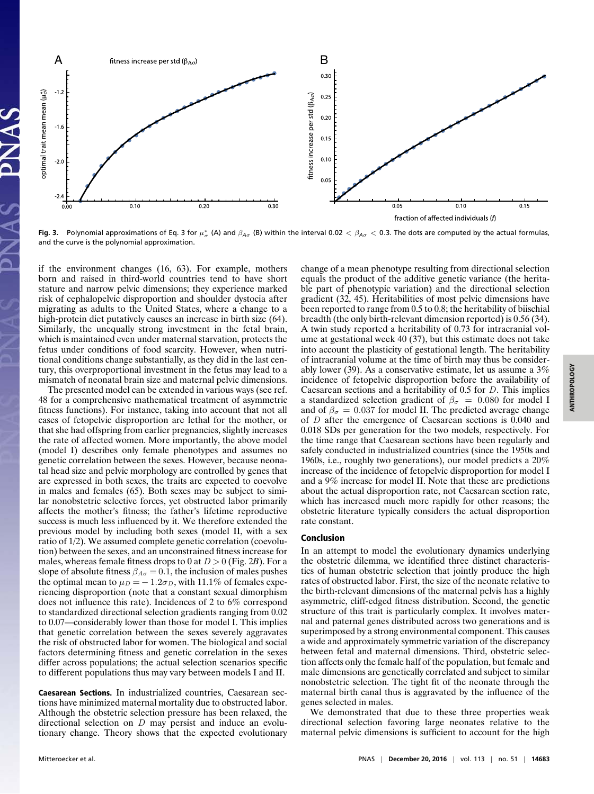

**Fig. 3.** Polynomial approximations of Eq. 3 for  $\mu^*_{\sigma}$  (A) and  $\beta_{A\sigma}$  (B) within the interval 0.02  $<\beta_{A\sigma}<$  0.3. The dots are computed by the actual formulas, and the curve is the polynomial approximation.

if the environment changes (16, 63). For example, mothers born and raised in third-world countries tend to have short stature and narrow pelvic dimensions; they experience marked risk of cephalopelvic disproportion and shoulder dystocia after migrating as adults to the United States, where a change to a high-protein diet putatively causes an increase in birth size (64). Similarly, the unequally strong investment in the fetal brain, which is maintained even under maternal starvation, protects the fetus under conditions of food scarcity. However, when nutritional conditions change substantially, as they did in the last century, this overproportional investment in the fetus may lead to a mismatch of neonatal brain size and maternal pelvic dimensions.

The presented model can be extended in various ways (see ref. 48 for a comprehensive mathematical treatment of asymmetric fitness functions). For instance, taking into account that not all cases of fetopelvic disproportion are lethal for the mother, or that she had offspring from earlier pregnancies, slightly increases the rate of affected women. More importantly, the above model (model I) describes only female phenotypes and assumes no genetic correlation between the sexes. However, because neonatal head size and pelvic morphology are controlled by genes that are expressed in both sexes, the traits are expected to coevolve in males and females (65). Both sexes may be subject to similar nonobstetric selective forces, yet obstructed labor primarily affects the mother's fitness; the father's lifetime reproductive success is much less influenced by it. We therefore extended the previous model by including both sexes (model II, with a sex ratio of 1/2). We assumed complete genetic correlation (coevolution) between the sexes, and an unconstrained fitness increase for males, whereas female fitness drops to 0 at  $D > 0$  (Fig. 2*B*). For a slope of absolute fitness  $\beta_{A\sigma} = 0.1$ , the inclusion of males pushes the optimal mean to  $\mu_D = -1.2\sigma_D$ , with 11.1% of females experiencing disproportion (note that a constant sexual dimorphism does not influence this rate). Incidences of 2 to 6% correspond to standardized directional selection gradients ranging from 0.02 to 0.07—considerably lower than those for model I. This implies that genetic correlation between the sexes severely aggravates the risk of obstructed labor for women. The biological and social factors determining fitness and genetic correlation in the sexes differ across populations; the actual selection scenarios specific to different populations thus may vary between models I and II.

Caesarean Sections. In industrialized countries, Caesarean sections have minimized maternal mortality due to obstructed labor. Although the obstetric selection pressure has been relaxed, the directional selection on D may persist and induce an evolutionary change. Theory shows that the expected evolutionary

change of a mean phenotype resulting from directional selection equals the product of the additive genetic variance (the heritable part of phenotypic variation) and the directional selection gradient (32, 45). Heritabilities of most pelvic dimensions have been reported to range from 0.5 to 0.8; the heritability of biischial breadth (the only birth-relevant dimension reported) is 0.56 (34). A twin study reported a heritability of 0.73 for intracranial volume at gestational week 40 (37), but this estimate does not take into account the plasticity of gestational length. The heritability of intracranial volume at the time of birth may thus be considerably lower (39). As a conservative estimate, let us assume a 3% incidence of fetopelvic disproportion before the availability of Caesarean sections and a heritability of 0.5 for D. This implies a standardized selection gradient of  $\beta_{\sigma} = 0.080$  for model I and of  $\beta_{\sigma} = 0.037$  for model II. The predicted average change of D after the emergence of Caesarean sections is 0.040 and 0.018 SDs per generation for the two models, respectively. For the time range that Caesarean sections have been regularly and safely conducted in industrialized countries (since the 1950s and 1960s, i.e., roughly two generations), our model predicts a 20% increase of the incidence of fetopelvic disproportion for model I and a 9% increase for model II. Note that these are predictions about the actual disproportion rate, not Caesarean section rate, which has increased much more rapidly for other reasons; the obstetric literature typically considers the actual disproportion rate constant.

### Conclusion

In an attempt to model the evolutionary dynamics underlying the obstetric dilemma, we identified three distinct characteristics of human obstetric selection that jointly produce the high rates of obstructed labor. First, the size of the neonate relative to the birth-relevant dimensions of the maternal pelvis has a highly asymmetric, cliff-edged fitness distribution. Second, the genetic structure of this trait is particularly complex. It involves maternal and paternal genes distributed across two generations and is superimposed by a strong environmental component. This causes a wide and approximately symmetric variation of the discrepancy between fetal and maternal dimensions. Third, obstetric selection affects only the female half of the population, but female and male dimensions are genetically correlated and subject to similar nonobstetric selection. The tight fit of the neonate through the maternal birth canal thus is aggravated by the influence of the genes selected in males.

We demonstrated that due to these three properties weak directional selection favoring large neonates relative to the maternal pelvic dimensions is sufficient to account for the high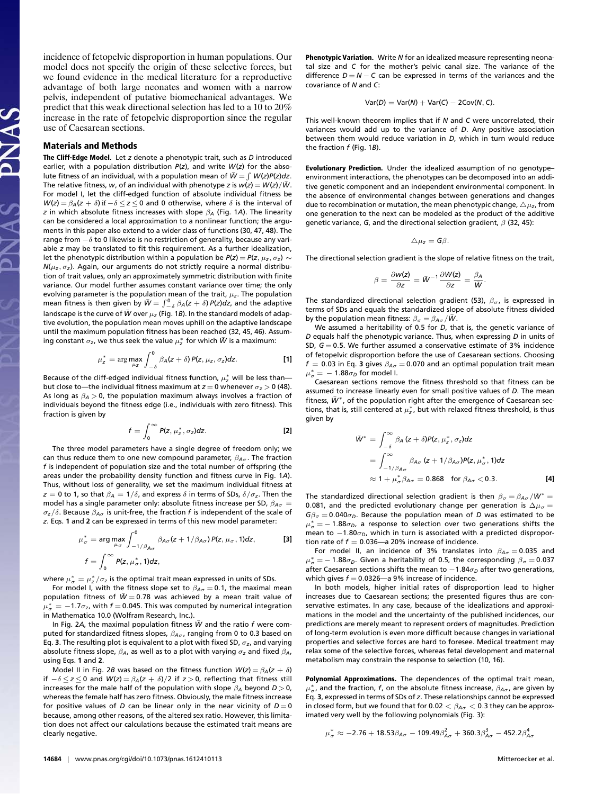incidence of fetopelvic disproportion in human populations. Our model does not specify the origin of these selective forces, but we found evidence in the medical literature for a reproductive advantage of both large neonates and women with a narrow pelvis, independent of putative biomechanical advantages. We predict that this weak directional selection has led to a 10 to 20% increase in the rate of fetopelvic disproportion since the regular use of Caesarean sections.

### Materials and Methods

The Cliff-Edge Model. Let *z* denote a phenotypic trait, such as *D* introduced earlier, with a population distribution *P*(*z*), and write *W*(*z*) for the absolute fitness of an individual, with a population mean of  $\bar{W} = \int W(z)P(z)dz$ . The relative fitness, *w*, of an individual with phenotype *z* is  $w(z) = W(z)/\bar{W}$ . For model I, let the cliff-edged function of absolute individual fitness be  $W(z) = \beta_A(z + \delta)$  if  $-\delta \le z \le 0$  and 0 otherwise, where  $\delta$  is the interval of *z* in which absolute fitness increases with slope β*<sup>A</sup>* (Fig. 1*A*). The linearity can be considered a local approximation to a nonlinear function; the arguments in this paper also extend to a wider class of functions (30, 47, 48). The range from  $-\delta$  to 0 likewise is no restriction of generality, because any variable *z* may be translated to fit this requirement. As a further idealization, let the phenotypic distribution within a population be  $P(z) = P(z, \mu_z, \sigma_z) \sim$  $N(\mu_z, \sigma_z)$ . Again, our arguments do not strictly require a normal distribution of trait values, only an approximately symmetric distribution with finite variance. Our model further assumes constant variance over time; the only evolving parameter is the population mean of the trait, µ*z*. The population mean fitness is then given by  $\bar{W} = \int_{-\delta}^0 \beta_A(z+\delta) \, P(z) dz$ , and the adaptive landscape is the curve of  $\bar{W}$  over  $\mu$ *z* (Fig. 1*B*). In the standard models of adaptive evolution, the population mean moves uphill on the adaptive landscape until the maximum population fitness has been reached (32, 45, 46). Assuming constant  $\sigma_{\mathsf{z}}$ , we thus seek the value  $\mu^*_{\mathsf{z}}$  for which  $\bar{W}$  is a maximum:

$$
\mu_z^* = \arg \max_{\mu_z} \int_{-\delta}^0 \beta_A(z + \delta) P(z, \mu_z, \sigma_z) dz.
$$
 [1]

Because of the cliff-edged individual fitness function,  $\mu^*_\mathsf{z}$  will be less than but close to—the individual fitness maximum at  $z = 0$  whenever  $\sigma_z > 0$  (48). As long as  $\beta_A > 0$ , the population maximum always involves a fraction of individuals beyond the fitness edge (i.e., individuals with zero fitness). This fraction is given by

$$
f = \int_0^\infty P(z, \mu_z^*, \sigma_z) dz.
$$
 [2]

The three model parameters have a single degree of freedom only; we can thus reduce them to one new compound parameter,  $\beta_{A\sigma}$ . The fraction *f* is independent of population size and the total number of offspring (the areas under the probability density function and fitness curve in Fig. 1*A*). Thus, without loss of generality, we set the maximum individual fitness at *z* = 0 to 1, so that  $\beta_A = 1/\delta$ , and express  $\delta$  in terms of SDs,  $\delta/\sigma_z$ . Then the model has a single parameter only: absolute fitness increase per SD,  $\beta_{A\sigma} =$ σ*z*/δ. Because β*A*<sup>σ</sup> is unit-free, the fraction *f* is independent of the scale of *z*. Eqs. **1** and **2** can be expressed in terms of this new model parameter:

$$
\mu_{\sigma}^{*} = \arg \max_{\mu_{\sigma}} \int_{-1/\beta_{A\sigma}}^{0} \beta_{A\sigma}(z + 1/\beta_{A\sigma}) P(z, \mu_{\sigma}, 1) dz,
$$
 [3]  

$$
f = \int_{0}^{\infty} P(z, \mu_{\sigma}^{*}, 1) dz,
$$

where  $\mu_{\sigma}^* = \mu_{\mathsf{z}}^*/\sigma_{\mathsf{z}}$  is the optimal trait mean expressed in units of SDs.

For model I, with the fitness slope set to  $\beta_{A\sigma} = 0.1$ , the maximal mean population fitness of  $\bar{W}$  = 0.78 was achieved by a mean trait value of  $\mu^*_{\sigma} = -1.7\sigma_z$ , with  $f$  = 0.045. This was computed by numerical integration in Mathematica 10.0 (Wolfram Research, Inc.).

In Fig. 2A, the maximal population fitness  $\bar{W}$  and the ratio *f* were computed for standardized fitness slopes, β*A*<sup>σ</sup> , ranging from 0 to 0.3 based on Eq. **3**. The resulting plot is equivalent to a plot with fixed SD, σ*z*, and varying absolute fitness slope, β*A*, as well as to a plot with varying σ*<sup>z</sup>* and fixed β*A*, using Eqs. **1** and **2**.

Model II in Fig. 2*B* was based on the fitness function  $W(z) = \beta_A(z + \delta)$ if −δ ≤ *z* ≤ 0 and *W*(*z*) = β*A*(*z* + δ)/2 if *z* > 0, reflecting that fitness still increases for the male half of the population with slope β*<sup>A</sup>* beyond *D* > 0, whereas the female half has zero fitness. Obviously, the male fitness increase for positive values of *D* can be linear only in the near vicinity of  $D = 0$ because, among other reasons, of the altered sex ratio. However, this limitation does not affect our calculations because the estimated trait means are clearly negative.

Phenotypic Variation. Write *N* for an idealized measure representing neonatal size and *C* for the mother's pelvic canal size. The variance of the difference *D* = *N* − *C* can be expressed in terms of the variances and the covariance of *N* and *C*:

$$
Var(D) = Var(N) + Var(C) - 2Cov(N, C).
$$

This well-known theorem implies that if *N* and *C* were uncorrelated, their variances would add up to the variance of *D*. Any positive association between them would reduce variation in *D*, which in turn would reduce the fraction *f* (Fig. 1*B*).

Evolutionary Prediction. Under the idealized assumption of no genotype– environment interactions, the phenotypes can be decomposed into an additive genetic component and an independent environmental component. In the absence of environmental changes between generations and changes due to recombination or mutation, the mean phenotypic change,  $\Delta \mu_z$ , from one generation to the next can be modeled as the product of the additive genetic variance, *G*, and the directional selection gradient, β (32, 45):

$$
\triangle\mu_{\mathbf{Z}}=\mathbf{G}\boldsymbol{\beta}.
$$

The directional selection gradient is the slope of relative fitness on the trait,

$$
\beta = \frac{\partial w(z)}{\partial z} = \bar{W}^{-1} \frac{\partial W(z)}{\partial z} = \frac{\beta_A}{\bar{W}}.
$$

The standardized directional selection gradient (53),  $\beta_{\sigma}$ , is expressed in terms of SDs and equals the standardized slope of absolute fitness divided by the population mean fitness:  $\beta_{\sigma} = \beta_{A\sigma}/\bar{W}$ .

We assumed a heritability of 0.5 for *D*, that is, the genetic variance of *D* equals half the phenotypic variance. Thus, when expressing *D* in units of SD, *G* = 0.5. We further assumed a conservative estimate of 3% incidence of fetopelvic disproportion before the use of Caesarean sections. Choosing  $f = 0.03$  in Eq. 3 gives  $\beta_{A\sigma} = 0.070$  and an optimal population trait mean  $\mu^*_{\sigma} = -1.88 \sigma_D$  for model I.

Caesarean sections remove the fitness threshold so that fitness can be assumed to increase linearly even for small positive values of *D*. The mean fitness,  $\bar{W}^*$ , of the population right after the emergence of Caesarean sections, that is, still centered at  $\mu^*_\mathsf{z}$ , but with relaxed fitness threshold, is thus given by

$$
\bar{W}^* = \int_{-\delta}^{\infty} \beta_A (z + \delta) P(z, \mu_z^*, \sigma_z) dz
$$
  
= 
$$
\int_{-1/\beta_{A\sigma}}^{\infty} \beta_{A\sigma} (z + 1/\beta_{A\sigma}) P(z, \mu_{\sigma}^*, 1) dz
$$
  

$$
\approx 1 + \mu_{\sigma}^* \beta_{A\sigma} = 0.868 \text{ for } \beta_{A\sigma} < 0.3.
$$
 [4]

The standardized directional selection gradient is then  $\beta_{\sigma} = \beta_{A\sigma}/\bar{W}^* =$ 0.081, and the predicted evolutionary change per generation is  $\Delta \mu_{\sigma} =$  $G\beta_{\sigma} = 0.040\sigma_{D}$ . Because the population mean of *D* was estimated to be  $\mu^*_\sigma\!=\!-1.88\sigma_D$ , a response to selection over two generations shifts the mean to −1.80 $σ<sub>D</sub>$ , which in turn is associated with a predicted disproportion rate of  $f = 0.036$ —a 20% increase of incidence.

For model II, an incidence of 3% translates into  $\beta_{A\sigma} = 0.035$  and  $\mu^*_\sigma\!=\!-1.88\sigma_D$ . Given a heritability of 0.5, the corresponding  $\beta_\sigma\!=\!0.037$ after Caesarean sections shifts the mean to −1.84 $\sigma$ <sub>D</sub> after two generations, which gives  $f = 0.0326$ —a 9% increase of incidence.

In both models, higher initial rates of disproportion lead to higher increases due to Caesarean sections; the presented figures thus are conservative estimates. In any case, because of the idealizations and approximations in the model and the uncertainty of the published incidences, our predictions are merely meant to represent orders of magnitudes. Prediction of long-term evolution is even more difficult because changes in variational properties and selective forces are hard to foresee. Medical treatment may relax some of the selective forces, whereas fetal development and maternal metabolism may constrain the response to selection (10, 16).

Polynomial Approximations. The dependences of the optimal trait mean,  $\mu^*_{\sigma}$ , and the fraction,  $f$ , on the absolute fitness increase,  $\beta_{\sf A\sigma}$ , are given by Eq. **3**, expressed in terms of SDs of *z*. These relationships cannot be expressed in closed form, but we found that for  $0.02 < \beta_{A\sigma} < 0.3$  they can be approximated very well by the following polynomials (Fig. 3):

$$
\mu_{\sigma}^{*} \approx -2.76 + 18.53 \beta_{A\sigma} - 109.49 \beta_{A\sigma}^{2} + 360.3 \beta_{A\sigma}^{3} - 452.2 \beta_{A\sigma}^{4}
$$